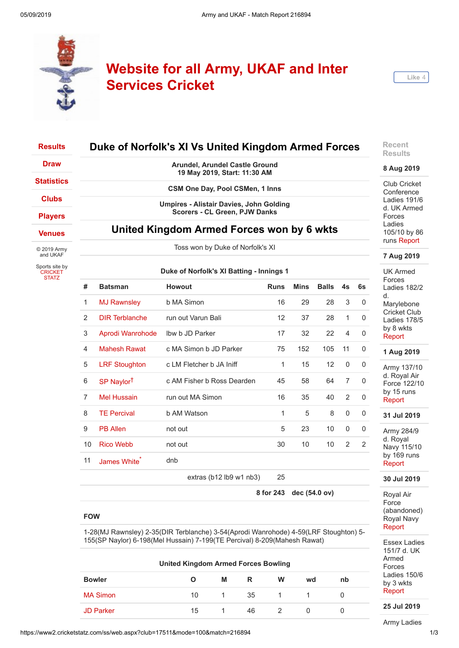



| <b>Results</b>                   |                                                                               |                          | Duke of Norfolk's XI Vs United Kingdom Armed Forces                                    |              |               |              |                |              | Recent<br><b>Results</b>                            |  |  |
|----------------------------------|-------------------------------------------------------------------------------|--------------------------|----------------------------------------------------------------------------------------|--------------|---------------|--------------|----------------|--------------|-----------------------------------------------------|--|--|
| <b>Draw</b>                      |                                                                               |                          | Arundel, Arundel Castle Ground<br>19 May 2019, Start: 11:30 AM                         |              |               |              |                |              | 8 Aug 2019                                          |  |  |
| <b>Statistics</b>                |                                                                               |                          | CSM One Day, Pool CSMen, 1 Inns                                                        |              |               |              |                |              | Club Cricket                                        |  |  |
| <b>Clubs</b>                     |                                                                               |                          |                                                                                        |              |               |              |                |              | Conference<br>Ladies 191/6                          |  |  |
| <b>Players</b>                   |                                                                               |                          | <b>Umpires - Alistair Davies, John Golding</b><br><b>Scorers - CL Green, PJW Danks</b> |              |               |              |                |              | d. UK Armed<br>Forces                               |  |  |
| <b>Venues</b>                    | United Kingdom Armed Forces won by 6 wkts<br>Toss won by Duke of Norfolk's XI |                          |                                                                                        |              |               |              |                |              | Ladies<br>105/10 by 86<br>runs Report<br>7 Aug 2019 |  |  |
| © 2019 Army<br>and UKAF          |                                                                               |                          |                                                                                        |              |               |              |                |              |                                                     |  |  |
| Sports site by<br><b>CRICKET</b> |                                                                               |                          | Duke of Norfolk's XI Batting - Innings 1                                               |              |               |              |                |              | <b>UK Armed</b>                                     |  |  |
| <b>STATZ</b>                     | #                                                                             | <b>Batsman</b>           | Howout                                                                                 | <b>Runs</b>  | <b>Mins</b>   | <b>Balls</b> | 4s             | 6s           | Forces<br>Ladies 182/2                              |  |  |
|                                  | $\mathbf{1}$                                                                  | <b>MJ Rawnsley</b>       | b MA Simon                                                                             | 16           | 29            | 28           | 3              | 0            | d.<br>Marylebone                                    |  |  |
|                                  | $\overline{2}$                                                                | <b>DIR Terblanche</b>    | run out Varun Bali                                                                     | 12           | 37            | 28           | 1              | 0            | <b>Cricket Club</b><br>Ladies 178/5                 |  |  |
|                                  | 3                                                                             | Aprodi Wanrohode         | Ibw b JD Parker                                                                        | 17           | 32            | 22           | $\overline{4}$ | 0            | by 8 wkts<br>Report                                 |  |  |
|                                  | $\overline{4}$                                                                | <b>Mahesh Rawat</b>      | c MA Simon b JD Parker                                                                 | 75           | 152           | 105          | 11             | 0            | 1 Aug 2019                                          |  |  |
|                                  | $\sqrt{5}$                                                                    | <b>LRF Stoughton</b>     | c LM Fletcher b JA Iniff                                                               | 1            | 15            | 12           | 0              | 0            | Army 137/10                                         |  |  |
|                                  | 6                                                                             | SP Naylor <sup>t</sup>   | c AM Fisher b Ross Dearden                                                             | 45           | 58            | 64           | $\overline{7}$ | $\mathbf{0}$ | d. Royal Air<br>Force 122/10                        |  |  |
|                                  | $\overline{7}$                                                                | <b>Mel Hussain</b>       | run out MA Simon                                                                       | 16           | 35            | 40           | $\overline{2}$ | 0            | by 15 runs<br>Report                                |  |  |
|                                  | 8                                                                             | <b>TE Percival</b>       | b AM Watson                                                                            | $\mathbf{1}$ | 5             | 8            | $\mathbf 0$    | 0            | 31 Jul 2019                                         |  |  |
|                                  | $9\,$                                                                         | <b>PB Allen</b>          | not out                                                                                | 5            | 23            | 10           | $\mathbf 0$    | 0            | Army 284/9                                          |  |  |
|                                  | 10                                                                            | <b>Rico Webb</b>         | not out                                                                                | 30           | 10            | 10           | 2              | 2            | d. Royal<br>Navy 115/10                             |  |  |
|                                  | 11                                                                            | James White <sup>®</sup> | dnb                                                                                    |              |               |              |                |              | by 169 runs<br>Report                               |  |  |
|                                  |                                                                               |                          | extras (b12 lb9 w1 nb3)                                                                | 25           |               |              |                |              | 30 Jul 2019                                         |  |  |
|                                  |                                                                               |                          |                                                                                        | 8 for 243    | dec (54.0 ov) |              |                |              | Roval Air                                           |  |  |

# **FOW**

1-28(MJ Rawnsley) 2-35(DIR Terblanche) 3-54(Aprodi Wanrohode) 4-59(LRF Stoughton) 5- 155(SP Naylor) 6-198(Mel Hussain) 7-199(TE Percival) 8-209(Mahesh Rawat)

| <b>United Kingdom Armed Forces Bowling</b> |    |   |    |   |    |    |  |  |
|--------------------------------------------|----|---|----|---|----|----|--|--|
| <b>Bowler</b>                              |    | М | R  | W | wd | nb |  |  |
| <b>MA Simon</b>                            | 10 |   | 35 |   |    |    |  |  |
| <b>JD Parker</b>                           | 15 |   | 46 |   |    |    |  |  |

Royal Air Force (abandoned) Royal Navy [Report](https://www2.cricketstatz.com/ss/runreport2.aspx?club=17511&mode=100&match=227726)

Essex Ladies 151/7 d. UK Armed Forces Ladies 150/6 by 3 wkts [Report](https://www2.cricketstatz.com/ss/runreport2.aspx?club=17511&mode=100&match=227785)

**25 Jul 2019**

Army Ladies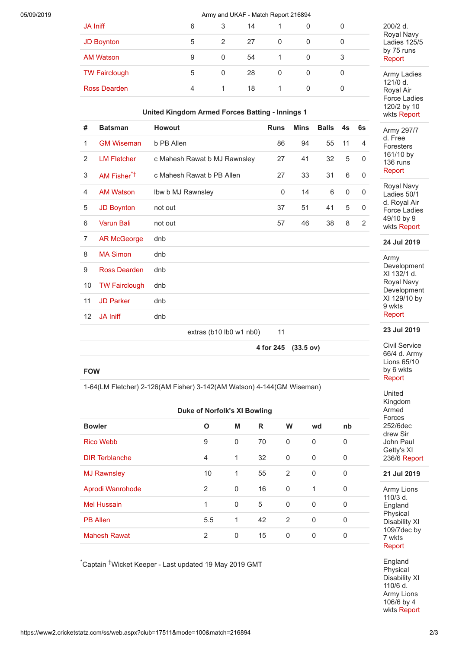# 05/09/2019 Army and UKAF - Match Report 216894

| <b>JA Iniff</b>      | 6 | 3             | 14 |   |          |   |
|----------------------|---|---------------|----|---|----------|---|
| <b>JD Boynton</b>    | 5 | $\mathcal{P}$ | 27 | 0 | $\Omega$ | U |
| <b>AM Watson</b>     | 9 | 0             | 54 |   | 0        | 3 |
| <b>TW Fairclough</b> | 5 | 0             | 28 | 0 | 0        | U |
| <b>Ross Dearden</b>  | 4 |               | 18 |   | 0        |   |
|                      |   |               |    |   |          |   |

#### **United Kingdom Armed Forces Batting - Innings 1**

| #              | <b>Batsman</b>          | <b>Howout</b>                | <b>Runs</b> | <b>Mins</b> | <b>Balls</b> | 4s       | 6s             |
|----------------|-------------------------|------------------------------|-------------|-------------|--------------|----------|----------------|
| 1              | <b>GM Wiseman</b>       | b PB Allen                   | 86          | 94          | 55           | 11       | 4              |
| 2              | <b>LM Fletcher</b>      | c Mahesh Rawat b MJ Rawnsley | 27          | 41          | 32           | 5        | $\Omega$       |
| 3              | AM Fisher <sup>*†</sup> | c Mahesh Rawat b PB Allen    | 27          | 33          | 31           | 6        | 0              |
| 4              | <b>AM Watson</b>        | Ibw b MJ Rawnsley            | 0           | 14          | 6            | $\Omega$ | 0              |
| 5              | <b>JD Boynton</b>       | not out                      | 37          | 51          | 41           | 5        | 0              |
| 6              | <b>Varun Bali</b>       | not out                      | 57          | 46          | 38           | 8        | $\overline{2}$ |
| $\overline{7}$ | <b>AR McGeorge</b>      | dnb                          |             |             |              |          |                |
| 8              | <b>MA Simon</b>         | dnb                          |             |             |              |          |                |
| 9              | Ross Dearden            | dnb                          |             |             |              |          |                |
| 10             | <b>TW Fairclough</b>    | dnb                          |             |             |              |          |                |
| 11             | <b>JD Parker</b>        | dnb                          |             |             |              |          |                |
| 12             | <b>JA Iniff</b>         | dnb                          |             |             |              |          |                |
|                |                         | extras (b10 lb0 w1 nb0)      | 11          |             |              |          |                |
|                |                         |                              | 4 for 245   | (33.5 ov)   |              |          |                |

200/2 d. Royal Navy Ladies 125/5 by 75 runs [Report](https://www2.cricketstatz.com/ss/runreport2.aspx?club=17511&mode=100&match=227529)

Army Ladies 121/0 d. Royal Air Force Ladies 120/2 by 10 wkts [Report](https://www2.cricketstatz.com/ss/runreport2.aspx?club=17511&mode=100&match=227528)

Army 297/7 d. Free Foresters 161/10 by 136 runs [Report](https://www2.cricketstatz.com/ss/runreport2.aspx?club=17511&mode=100&match=227520)

Royal Navy Ladies 50/1 d. Royal Air Force Ladies 49/10 by 9 wkts [Report](https://www2.cricketstatz.com/ss/runreport2.aspx?club=17511&mode=100&match=227527)

# **24 Jul 2019**

Army Development XI 132/1 d. Royal Navy Development XI 129/10 by 9 wkts [Report](https://www2.cricketstatz.com/ss/runreport2.aspx?club=17511&mode=100&match=227519)

**23 Jul 2019**

Civil Service 66/4 d. Army Lions 65/10 by 6 wkts [Report](https://www2.cricketstatz.com/ss/runreport2.aspx?club=17511&mode=100&match=227467)

United Kingdom Armed Forces 252/6dec drew Sir John Paul Getty's XI 236/6 [Report](https://www2.cricketstatz.com/ss/runreport2.aspx?club=17511&mode=100&match=227476)

#### **21 Jul 2019**

Army Lions 110/3 d. England Physical Disability XI 109/7dec by 7 wkts [Report](https://www2.cricketstatz.com/ss/runreport2.aspx?club=17511&mode=100&match=226407)

**England Physical** Disability XI 110/6 d. Army Lions 106/6 by 4 wkts [Report](https://www2.cricketstatz.com/ss/runreport2.aspx?club=17511&mode=100&match=226404)

### **FOW**

1-64(LM Fletcher) 2-126(AM Fisher) 3-142(AM Watson) 4-144(GM Wiseman)

|                       | <b>Duke of Norfolk's XI Bowling</b> |          |    |              |          |              |
|-----------------------|-------------------------------------|----------|----|--------------|----------|--------------|
| <b>Bowler</b>         | O                                   | M        | R  | W            | wd       | nb           |
| <b>Rico Webb</b>      | 9                                   | 0        | 70 | $\mathbf{0}$ | 0        | 0            |
| <b>DIR Terblanche</b> | $\overline{4}$                      | 1        | 32 | 0            | 0        | $\Omega$     |
| <b>MJ Rawnsley</b>    | 10                                  | 1        | 55 | 2            | 0        | 0            |
| Aprodi Wanrohode      | 2                                   | $\Omega$ | 16 | $\mathbf{0}$ | 1        | $\Omega$     |
| <b>Mel Hussain</b>    | $\mathbf{1}$                        | $\Omega$ | 5  | $\Omega$     | $\Omega$ | $\Omega$     |
| <b>PB Allen</b>       | 5.5                                 | 1        | 42 | 2            | $\Omega$ | $\mathbf{0}$ |
| <b>Mahesh Rawat</b>   | 2                                   | 0        | 15 | $\Omega$     | 0        | 0            |

\*Captain †Wicket Keeper - Last updated 19 May 2019 GMT